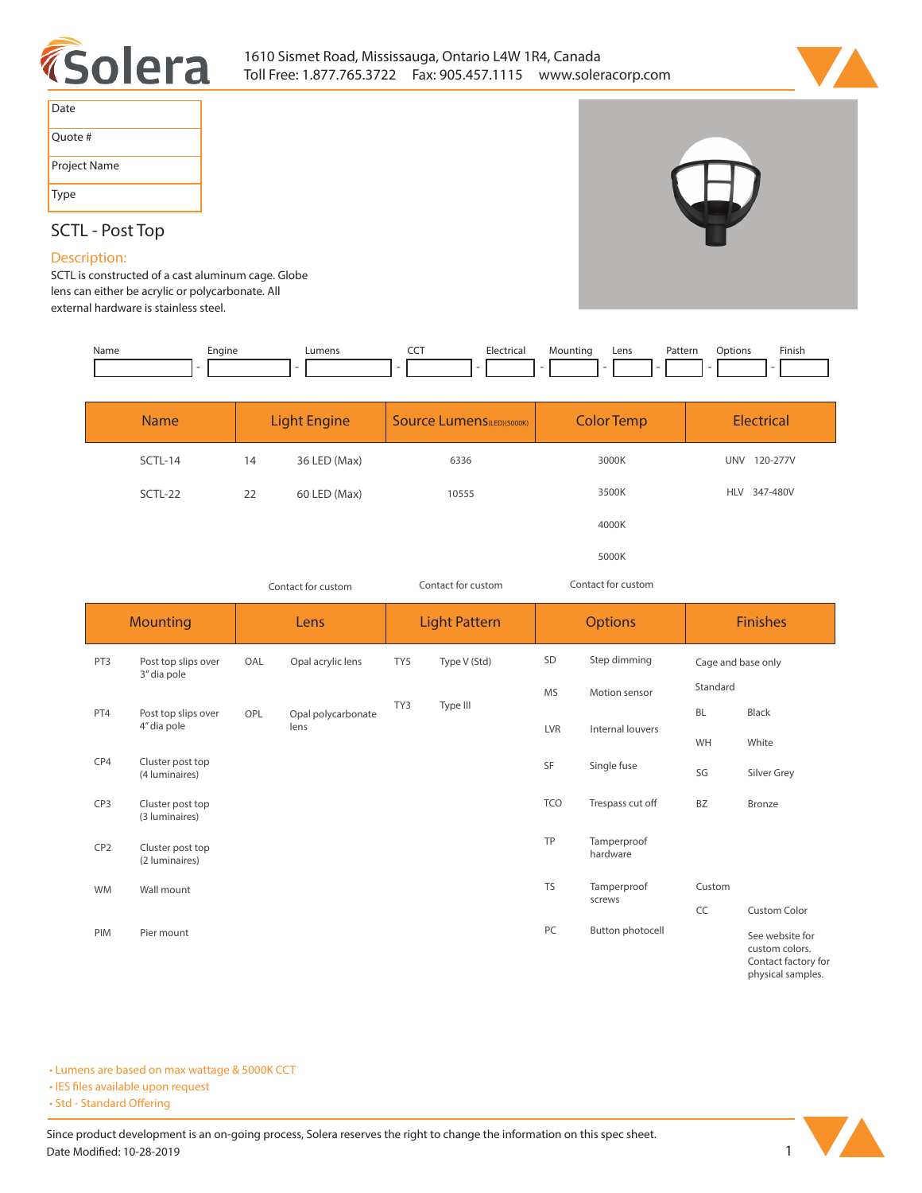



| Date         |
|--------------|
| Quote #      |
| Project Name |
| <b>Type</b>  |

# **SCTL - Post Top**

# **Description:**

**SCTL is constructed of a cast aluminum cage. Globe lens can either be acrylic or polycarbonate. All external hardware is stainless steel.** 

| Name | Engine | Lumens | ---<br>$\tilde{}$ | Hectrica <sub>1</sub> | Mountinc | Lens<br>---- | Patterr<br>. | רtion. | Finish |
|------|--------|--------|-------------------|-----------------------|----------|--------------|--------------|--------|--------|
|      |        |        |                   |                       |          |              |              |        |        |
|      |        |        |                   |                       |          |              |              |        |        |

| <b>Name</b> |    | <b>Light Engine</b> | <b>Source Lumens</b> (LED)(5000K) | <b>Color Temp</b> | <b>Electrical</b>      |  |  |  |  |
|-------------|----|---------------------|-----------------------------------|-------------------|------------------------|--|--|--|--|
| SCTL-14     | 14 | 36 LED (Max)        | 6336                              | 3000K             | <b>UNV</b><br>120-277V |  |  |  |  |
| SCTL-22     | 22 | 60 LED (Max)        | 10555                             | 3500K             | HLV 347-480V           |  |  |  |  |
|             |    |                     |                                   | 4000K             |                        |  |  |  |  |
|             |    |                     |                                   | 5000K             |                        |  |  |  |  |

*Contact for custom Contact for custom*

*Contact for custom*

|                 | <b>Mounting</b>                    |     | Lens                       |     | <b>Light Pattern</b> |              | <b>Options</b>          | <b>Finishes</b>    |                                             |  |  |
|-----------------|------------------------------------|-----|----------------------------|-----|----------------------|--------------|-------------------------|--------------------|---------------------------------------------|--|--|
| PT3             | Post top slips over<br>3" dia pole | OAL | Opal acrylic lens          | TY5 | Type V (Std)         | Step dimming |                         | Cage and base only |                                             |  |  |
|                 |                                    |     |                            |     |                      | <b>MS</b>    | Motion sensor           | Standard           |                                             |  |  |
| PT4             | Post top slips over                | OPL | Opal polycarbonate<br>lens | TY3 | Type III             |              |                         | <b>BL</b>          | Black                                       |  |  |
|                 | 4" dia pole                        |     |                            |     |                      | LVR          | Internal louvers        | WH                 | White                                       |  |  |
| CP4             | Cluster post top<br>(4 luminaires) |     |                            |     |                      | SF           | Single fuse             | SG                 | Silver Grey                                 |  |  |
| CP <sub>3</sub> | Cluster post top<br>(3 luminaires) |     |                            |     |                      | <b>TCO</b>   | Trespass cut off        | <b>BZ</b>          | Bronze                                      |  |  |
| CP <sub>2</sub> | Cluster post top<br>(2 luminaires) |     |                            |     |                      | <b>TP</b>    | Tamperproof<br>hardware |                    |                                             |  |  |
| <b>WM</b>       | Wall mount                         |     |                            |     |                      | <b>TS</b>    | Tamperproof             | Custom             |                                             |  |  |
|                 |                                    |     |                            |     |                      |              | screws                  | CC                 | Custom Color                                |  |  |
| PIM             | Pier mount                         |     |                            |     |                      | PC           | Button photocell        |                    | See website for<br>custom colors.<br>$\sim$ |  |  |

**Contact factory for physical samples.** 

**• Lumens are based on max wattage & 5000K CCT**

**• IES files available upon request** 

• Std - Standard Offering